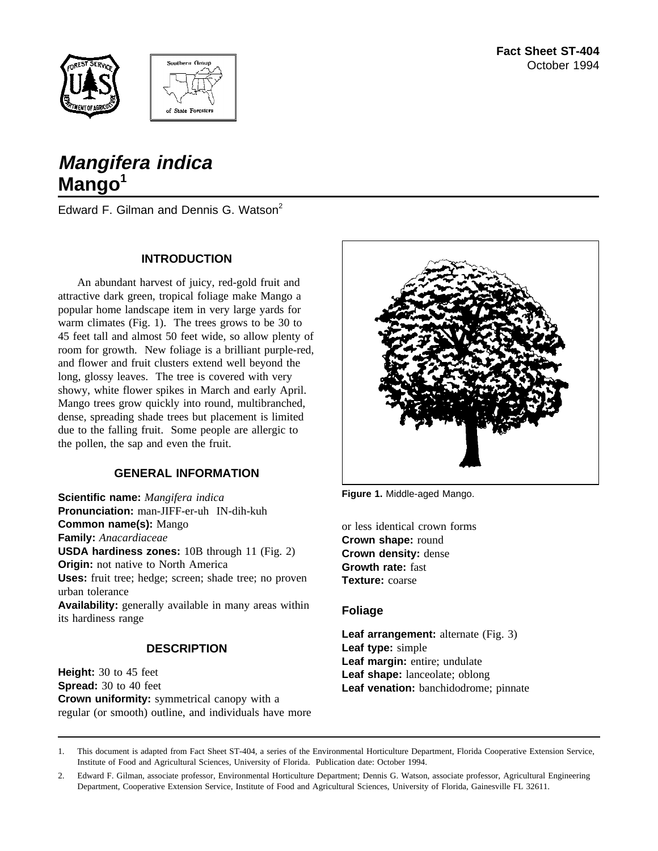



# **Mangifera indica Mango<sup>1</sup>**

Edward F. Gilman and Dennis G. Watson<sup>2</sup>

## **INTRODUCTION**

An abundant harvest of juicy, red-gold fruit and attractive dark green, tropical foliage make Mango a popular home landscape item in very large yards for warm climates (Fig. 1). The trees grows to be 30 to 45 feet tall and almost 50 feet wide, so allow plenty of room for growth. New foliage is a brilliant purple-red, and flower and fruit clusters extend well beyond the long, glossy leaves. The tree is covered with very showy, white flower spikes in March and early April. Mango trees grow quickly into round, multibranched, dense, spreading shade trees but placement is limited due to the falling fruit. Some people are allergic to the pollen, the sap and even the fruit.

# **GENERAL INFORMATION**

**Scientific name:** *Mangifera indica* **Pronunciation:** man-JIFF-er-uh IN-dih-kuh **Common name(s):** Mango **Family:** *Anacardiaceae* **USDA hardiness zones:** 10B through 11 (Fig. 2) **Origin:** not native to North America **Uses:** fruit tree; hedge; screen; shade tree; no proven urban tolerance **Availability:** generally available in many areas within its hardiness range

# **DESCRIPTION**

**Height:** 30 to 45 feet **Spread:** 30 to 40 feet **Crown uniformity:** symmetrical canopy with a regular (or smooth) outline, and individuals have more



**Figure 1.** Middle-aged Mango.

or less identical crown forms **Crown shape:** round **Crown density:** dense **Growth rate:** fast **Texture:** coarse

## **Foliage**

**Leaf arrangement:** alternate (Fig. 3) **Leaf type:** simple **Leaf margin:** entire; undulate **Leaf shape:** lanceolate; oblong **Leaf venation:** banchidodrome; pinnate

1. This document is adapted from Fact Sheet ST-404, a series of the Environmental Horticulture Department, Florida Cooperative Extension Service, Institute of Food and Agricultural Sciences, University of Florida. Publication date: October 1994.

2. Edward F. Gilman, associate professor, Environmental Horticulture Department; Dennis G. Watson, associate professor, Agricultural Engineering Department, Cooperative Extension Service, Institute of Food and Agricultural Sciences, University of Florida, Gainesville FL 32611.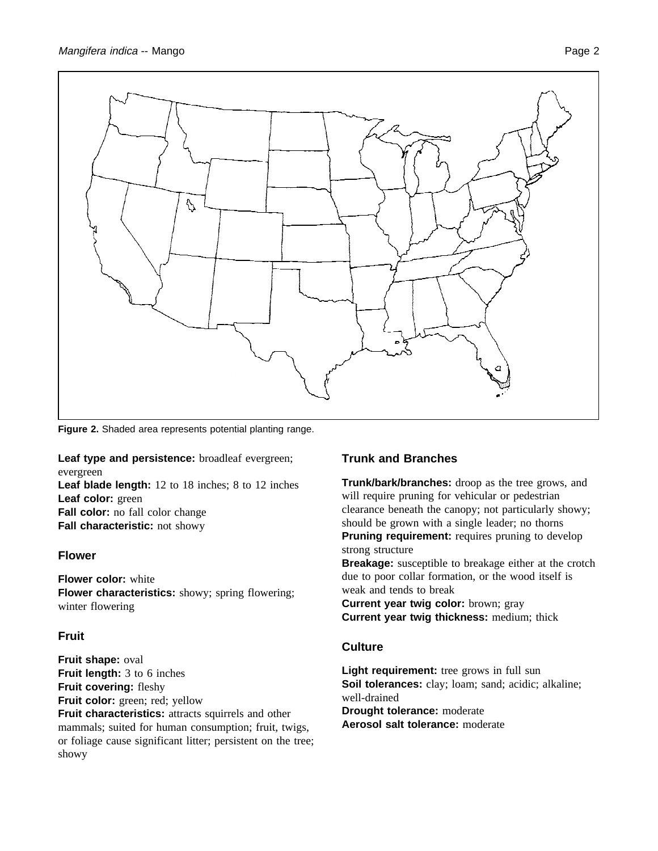

**Figure 2.** Shaded area represents potential planting range.

**Leaf type and persistence:** broadleaf evergreen; evergreen

**Leaf blade length:** 12 to 18 inches; 8 to 12 inches **Leaf color:** green **Fall color:** no fall color change **Fall characteristic:** not showy

## **Flower**

**Flower color:** white **Flower characteristics:** showy; spring flowering; winter flowering

## **Fruit**

**Fruit shape:** oval **Fruit length:** 3 to 6 inches **Fruit covering:** fleshy **Fruit color:** green; red; yellow

**Fruit characteristics:** attracts squirrels and other mammals; suited for human consumption; fruit, twigs, or foliage cause significant litter; persistent on the tree; showy

# **Trunk and Branches**

**Trunk/bark/branches:** droop as the tree grows, and will require pruning for vehicular or pedestrian clearance beneath the canopy; not particularly showy; should be grown with a single leader; no thorns **Pruning requirement:** requires pruning to develop strong structure

**Breakage:** susceptible to breakage either at the crotch due to poor collar formation, or the wood itself is weak and tends to break

**Current year twig color:** brown; gray **Current year twig thickness:** medium; thick

## **Culture**

Light requirement: tree grows in full sun **Soil tolerances:** clay; loam; sand; acidic; alkaline; well-drained **Drought tolerance:** moderate **Aerosol salt tolerance:** moderate